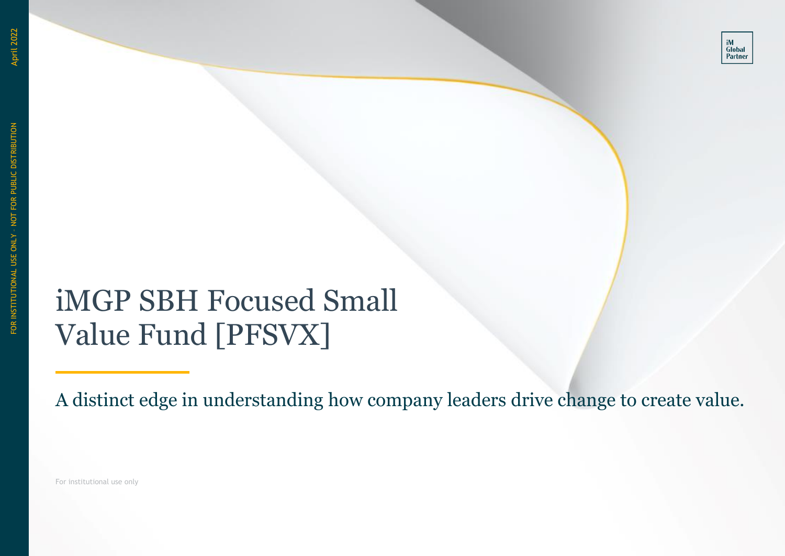# iMGP SBH Focused Small Value Fund [PFSVX]

A distinct edge in understanding how company leaders drive change to create value.

For institutional use only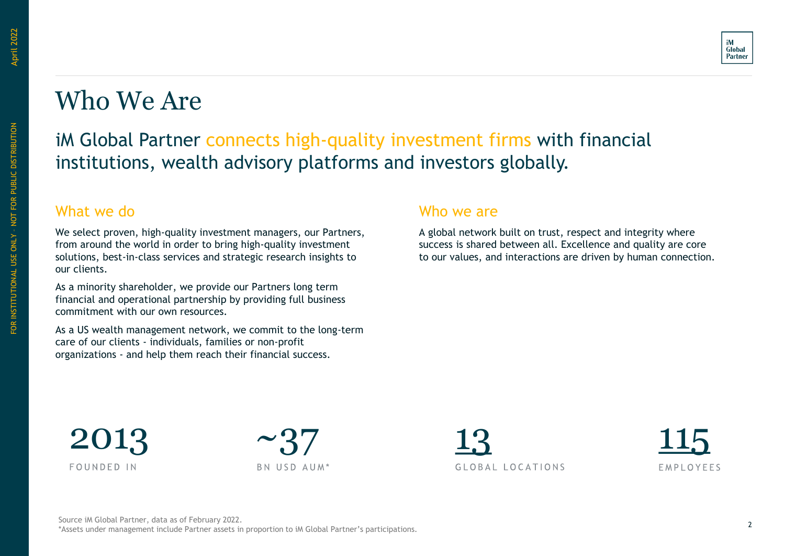FOR INSTITUTIONAL USE ONLY – NOT FOR PUBLIC DISTRIBUTION

FOR INSTITUTIONAL USE ONLY - NOT FOR PUBLIC DISTRIBUTION



### Who We Are

### iM Global Partner connects high-quality investment firms with financial institutions, wealth advisory platforms and investors globally.

#### What we do

We select proven, high-quality investment managers, our Partners, from around the world in order to bring high-quality investment solutions, best-in-class services and strategic research insights to our clients.

As a minority shareholder, we provide our Partners long term financial and operational partnership by providing full business commitment with our own resources.

As a US wealth management network, we commit to the long-term care of our clients - individuals, families or non-profit organizations - and help them reach their financial success.

#### Who we are

A global network built on trust, respect and integrity where success is shared between all. Excellence and quality are core to our values, and interactions are driven by human connection.





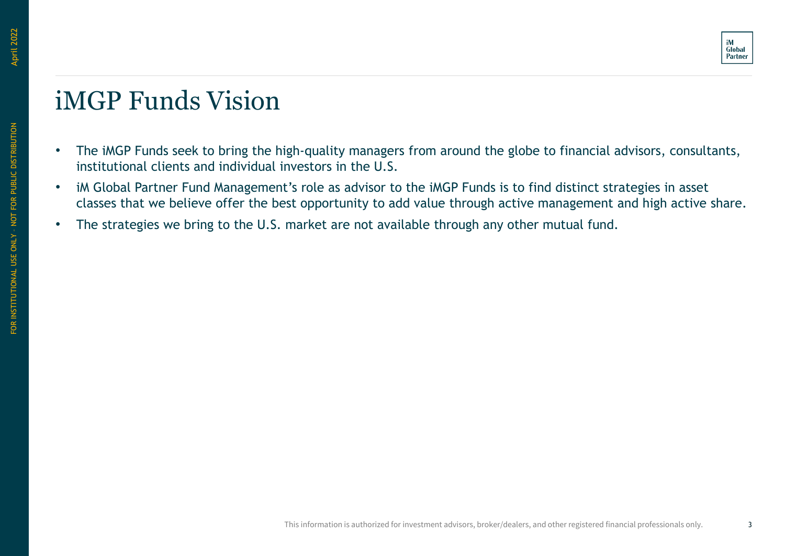### <span id="page-2-0"></span>iMGP Funds Vision

- The iMGP Funds seek to bring the high-quality managers from around the globe to financial advisors, consultants, institutional clients and individual investors in the U.S.
- iM Global Partner Fund Management's role as advisor to the iMGP Funds is to find distinct strategies in asset classes that we believe offer the best opportunity to add value through active management and high active share.
- The strategies we bring to the U.S. market are not available through any other mutual fund.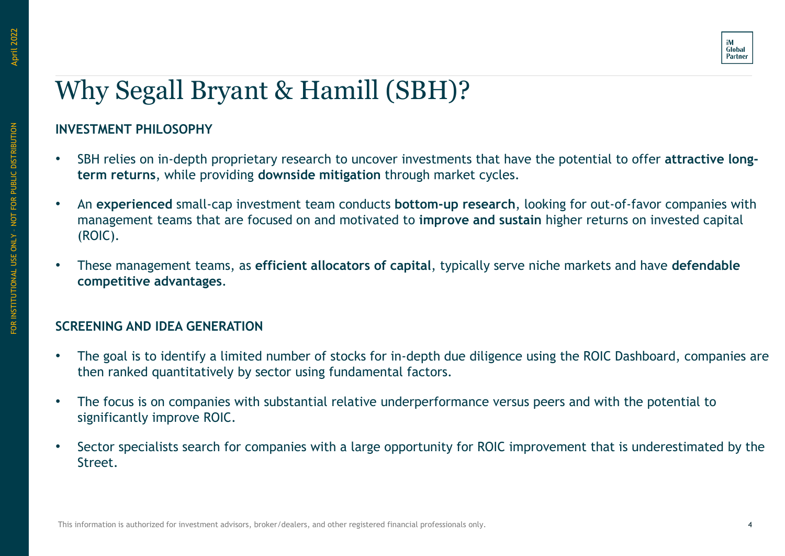

# Why Segall Bryant & Hamill (SBH)?

### **INVESTMENT PHILOSOPHY**

- SBH relies on in-depth proprietary research to uncover investments that have the potential to offer **attractive longterm returns**, while providing **downside mitigation** through market cycles.
- An **experienced** small-cap investment team conducts **bottom-up research**, looking for out-of-favor companies with management teams that are focused on and motivated to **improve and sustain** higher returns on invested capital (ROIC).
- These management teams, as **efficient allocators of capital**, typically serve niche markets and have **defendable competitive advantages**.

### **SCREENING AND IDEA GENERATION**

- The goal is to identify a limited number of stocks for in-depth due diligence using the ROIC Dashboard, companies are then ranked quantitatively by sector using fundamental factors.
- The focus is on companies with substantial relative underperformance versus peers and with the potential to significantly improve ROIC.
- Sector specialists search for companies with a large opportunity for ROIC improvement that is underestimated by the Street.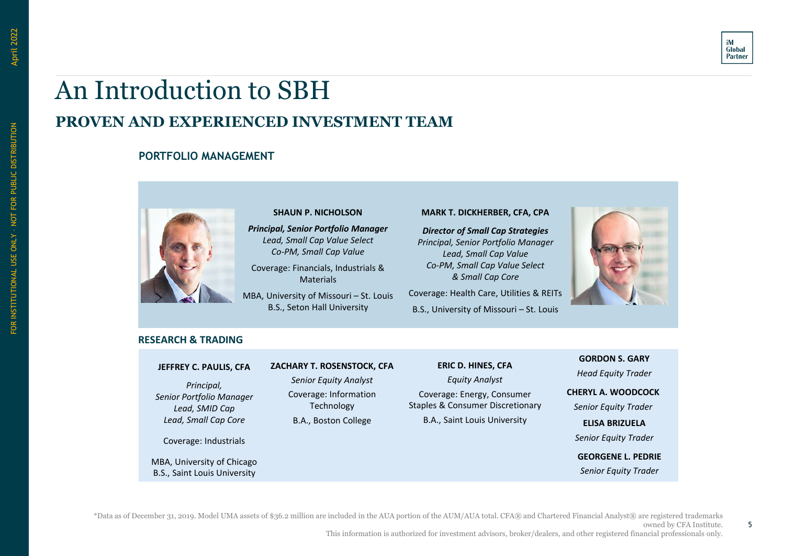

### An Introduction to SBH **PROVEN AND EXPERIENCED INVESTMENT TEAM**

#### **PORTFOLIO MANAGEMENT**



**SHAUN P. NICHOLSON** *Principal, Senior Portfolio Manager Lead, Small Cap Value Select Co-PM, Small Cap Value*

Coverage: Financials, Industrials & **Materials** 

MBA, University of Missouri – St. Louis B.S., Seton Hall University

#### **MARK T. DICKHERBER, CFA, CPA**

*Director of Small Cap Strategies Principal, Senior Portfolio Manager Lead, Small Cap Value Co-PM, Small Cap Value Select & Small Cap Core*

Coverage: Health Care, Utilities & REITs B.S., University of Missouri – St. Louis



#### **RESEARCH & TRADING**

#### **JEFFREY C. PAULIS, CFA**

*Principal, Senior Portfolio Manager Lead, SMID Cap Lead, Small Cap Core*

Coverage: Industrials

MBA, University of Chicago B.S., Saint Louis University

#### **ZACHARY T. ROSENSTOCK, CFA**

*Senior Equity Analyst* Coverage: Information Technology B.A., Boston College

#### **ERIC D. HINES, CFA** *Equity Analyst* Coverage: Energy, Consumer Staples & Consumer Discretionary

B.A., Saint Louis University

**GEORGENE L. PEDRIE CHERYL A. WOODCOCK** *Senior Equity Trader* **GORDON S. GARY** *Head Equity Trader* **ELISA BRIZUELA** *Senior Equity Trader*

*Senior Equity Trader*

\*Data as of December 31, 2019. Model UMA assets of \$36.2 million are included in the AUA portion of the AUM/AUA total. CFA® and Chartered Financial Analyst® are registered trademarks

5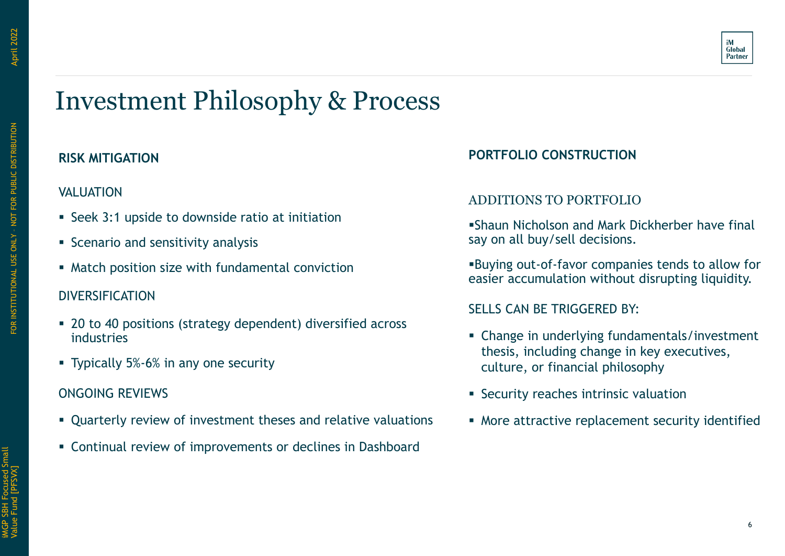# Investment Philosophy & Process

### **RISK MITIGATION**

### VALUATION

- Seek 3:1 upside to downside ratio at initiation
- Scenario and sensitivity analysis
- Match position size with fundamental conviction

### DIVERSIFICATION

- 20 to 40 positions (strategy dependent) diversified across industries
- Typically 5%-6% in any one security

### ONGOING REVIEWS

- Quarterly review of investment theses and relative valuations
- Continual review of improvements or declines in Dashboard

### **PORTFOLIO CONSTRUCTION**

### ADDITIONS TO PORTFOLIO

▪Shaun Nicholson and Mark Dickherber have final say on all buy/sell decisions.

▪Buying out-of-favor companies tends to allow for easier accumulation without disrupting liquidity.

#### SELLS CAN BE TRIGGERED BY:

- Change in underlying fundamentals/investment thesis, including change in key executives, culture, or financial philosophy
- **EXECUTE Security reaches intrinsic valuation**
- **.** More attractive replacement security identified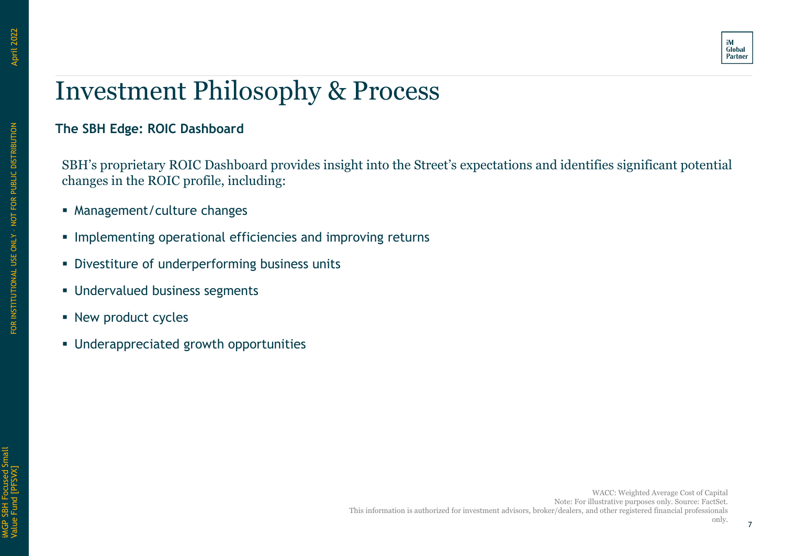

## Investment Philosophy & Process

### **The SBH Edge: ROIC Dashboard**

SBH's proprietary ROIC Dashboard provides insight into the Street's expectations and identifies significant potential changes in the ROIC profile, including:

- Management/culture changes
- **.** Implementing operational efficiencies and improving returns
- **Divestiture of underperforming business units**
- **Undervalued business segments**
- **E** New product cycles
- Underappreciated growth opportunities

**April 2022**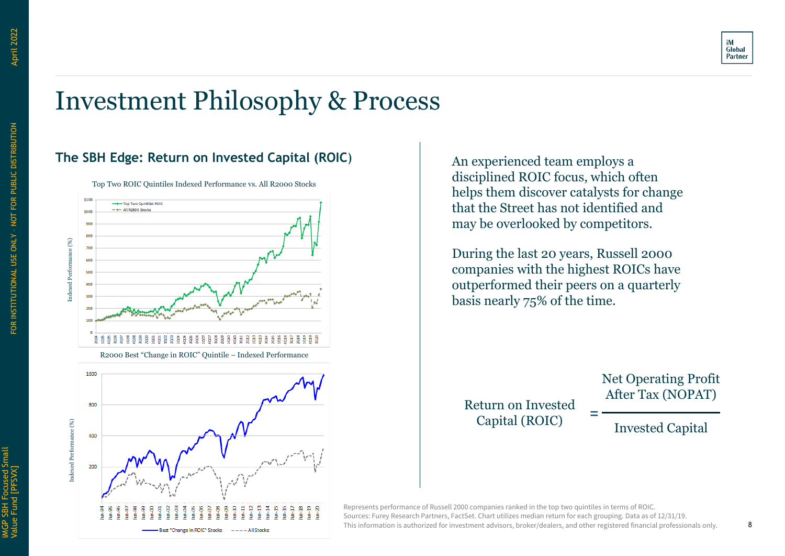

## Investment Philosophy & Process

### **The SBH Edge: Return on Invested Capital (ROIC**)



Top Two ROIC Quintiles Indexed Performance vs. All R2000 Stocks

1600 800 indexed Performance (%) Indexed Performance (%) 400 200  $\mathbb{R}$ ி 自自自 Best "Change in ROIC" Stocks  $---$  All Stocks

An experienced team employs a disciplined ROIC focus, which often helps them discover catalysts for change that the Street has not identified and may be overlooked by competitors.

During the last 20 years, Russell 2000 companies with the highest ROICs have outperformed their peers on a quarterly basis nearly 75% of the time.

=

Return on Invested Capital (ROIC)

Net Operating Profit After Tax (NOPAT)

Invested Capital

Represents performance of Russell 2000 companies ranked in the top two quintiles in terms of ROIC. Sources: Furey Research Partners, FactSet. Chart utilizes median return for each grouping. Data as of 12/31/19. This information is authorized for investment advisors, broker/dealers, and other registered financial professionals only.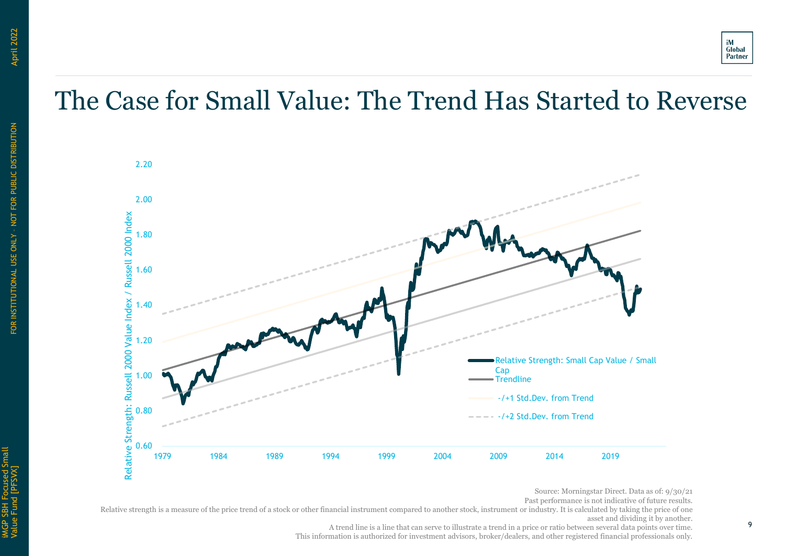## The Case for Small Value: The Trend Has Started to Reverse



Source: Morningstar Direct. Data as of: 9/30/21

Past performance is not indicative of future results.

Relative strength is a measure of the price trend of a stock or other financial instrument compared to another stock, instrument or industry. It is calculated by taking the price of one asset and dividing it by another.

A trend line is a line that can serve to illustrate a trend in a price or ratio between several data points over time.

This information is authorized for investment advisors, broker/dealers, and other registered financial professionals only.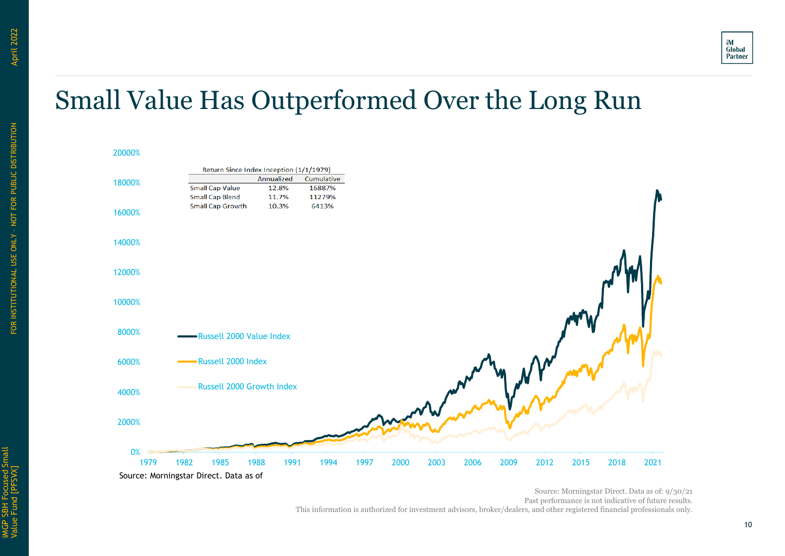

## Small Value Has Outperformed Over the Long Run

#### 20000%



Source: Morningstar Direct. Data as of: 9/30/21 Past performance is not indicative of future results. This information is authorized for investment advisors, broker/dealers, and other registered financial professionals only.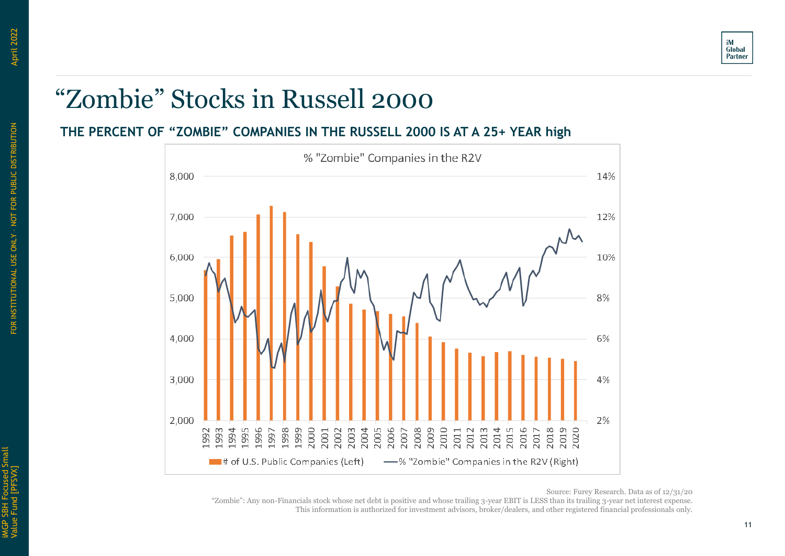

## "Zombie" Stocks in Russell 2000

#### **THE PERCENT OF "ZOMBIE" COMPANIES IN THE RUSSELL 2000 IS AT A 25+ YEAR high**



"Zombie": Any non-Financials stock whose net debt is positive and whose trailing 3-year EBIT is LESS than its trailing 3-year net interest expense. This information is authorized for investment advisors, broker/dealers, and other registered financial professionals only.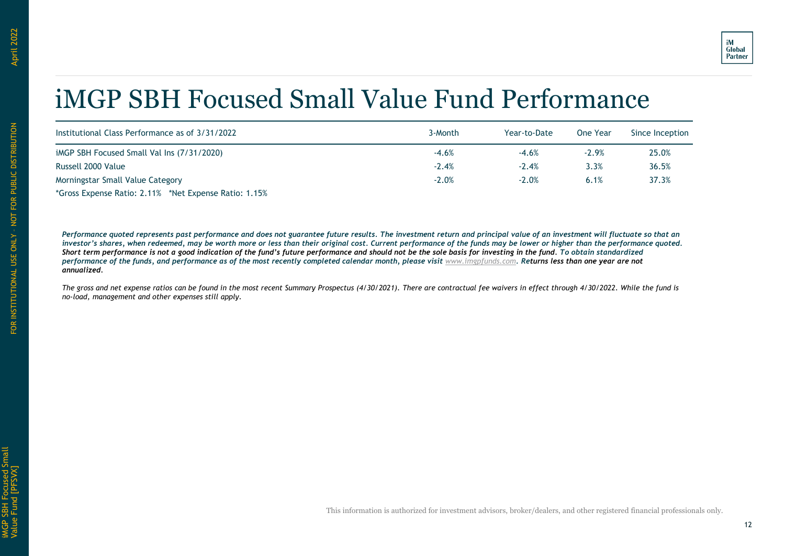## iMGP SBH Focused Small Value Fund Performance

| Institutional Class Performance as of 3/31/2022       | 3-Month | Year-to-Date | One Year | Since Inception |
|-------------------------------------------------------|---------|--------------|----------|-----------------|
| iMGP SBH Focused Small Val Ins (7/31/2020)            | $-4.6%$ | $-4.6%$      | $-2.9%$  | 25.0%           |
| Russell 2000 Value                                    | $-2.4%$ | $-2.4%$      | 3.3%     | 36.5%           |
| Morningstar Small Value Category                      | $-2.0%$ | $-2.0%$      | 6.1%     | 37.3%           |
| *Gross Expense Ratio: 2.11% *Net Expense Ratio: 1.15% |         |              |          |                 |

Performance quoted represents past performance and does not guarantee future results. The investment return and principal value of an investment will fluctuate so that an *investor's shares, when redeemed, may be worth more or less than their original cost. Current performance of the funds may be lower or higher than the performance quoted. Short term performance is not a good indication of the fund's future performance and should not be the sole basis for investing in the fund. To obtain standardized performance of the funds, and performance as of the most recently completed calendar month, please visit [www.imgpfunds.com](http://www.partnerselectfunds.com/). Returns less than one year are not annualized.*

*The gross and net expense ratios can be found in the most recent Summary Prospectus (4/30/2021). There are contractual fee waivers in effect through 4/30/2022. While the fund is no-load, management and other expenses still apply.*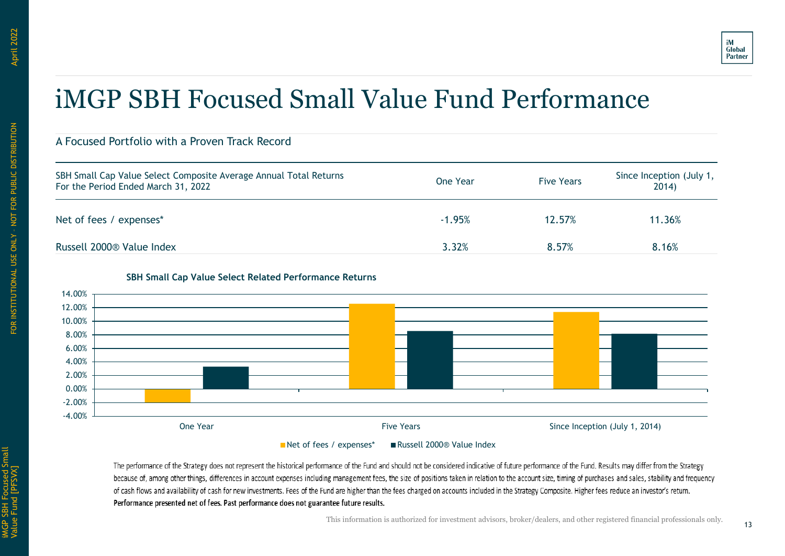## iMGP SBH Focused Small Value Fund Performance

#### A Focused Portfolio with a Proven Track Record

| SBH Small Cap Value Select Composite Average Annual Total Returns<br>For the Period Ended March 31, 2022 | One Year | <b>Five Years</b> | Since Inception (July 1,<br>2014) |
|----------------------------------------------------------------------------------------------------------|----------|-------------------|-----------------------------------|
| Net of fees / expenses*                                                                                  | $-1.95%$ | 12.57%            | 11.36%                            |
| Russell 2000 <sup>®</sup> Value Index                                                                    | 3.32%    | 8.57%             | 8.16%                             |



#### **SBH Small Cap Value Select Related Performance Returns**

■ Net of fees / expenses\* ■ Russell 2000® Value Index

The performance of the Strategy does not represent the historical performance of the Fund and should not be considered indicative of future performance of the Fund. Results may differ from the Strategy because of, among other things, differences in account expenses including management fees, the size of positions taken in relation to the account size, timing of purchases and sales, stability and frequency of cash flows and availability of cash for new investments. Fees of the Fund are higher than the fees charged on accounts included in the Strategy Composite. Higher fees reduce an investor's return. Performance presented net of fees. Past performance does not guarantee future results.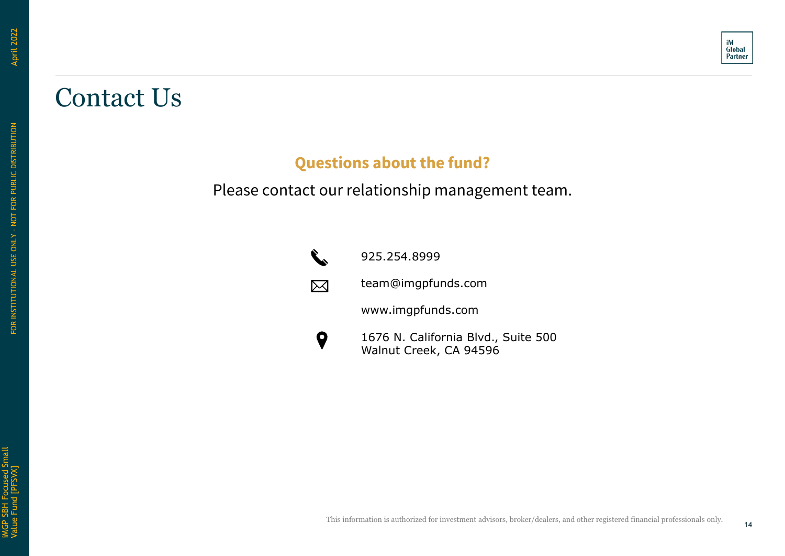## Contact Us

### **Questions about the fund?**

Please contact our relationship management team.



925.254.8999

team@imgpfunds.com

www.imgpfunds.com

 $\boldsymbol{Q}$ 1676 N. California Blvd., Suite 500 Walnut Creek, CA 94596